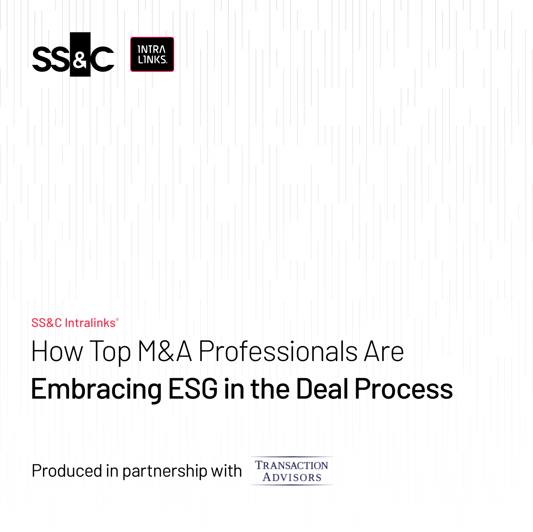

### SS&C Intralinks®

## How Top M&A Professionals Are Embracing ESG in the Deal Process

Produced in partnership with

**TRANSACTION ADVISORS**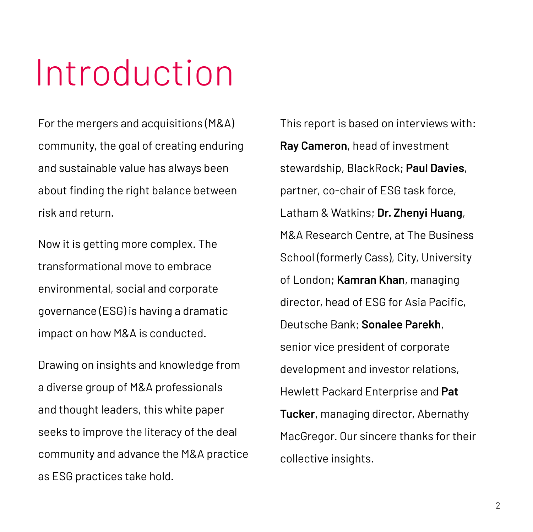# Introduction

For the mergers and acquisitions (M&A) community, the goal of creating enduring and sustainable value has always been about finding the right balance between risk and return.

Now it is getting more complex. The transformational move to embrace environmental, social and corporate governance (ESG) is having a dramatic impact on how M&A is conducted.

Drawing on insights and knowledge from a diverse group of M&A professionals and thought leaders, this white paper seeks to improve the literacy of the deal community and advance the M&A practice as ESG practices take hold.

This report is based on interviews with: **Ray Cameron**, head of investment stewardship, BlackRock; **Paul Davies**, partner, co-chair of ESG task force, Latham & Watkins; **Dr. Zhenyi Huang**, M&A Research Centre, at The Business School (formerly Cass), City, University of London; **Kamran Khan**, managing director, head of ESG for Asia Pacific, Deutsche Bank; **Sonalee Parekh**, senior vice president of corporate development and investor relations, Hewlett Packard Enterprise and **Pat Tucker**, managing director, Abernathy MacGregor. Our sincere thanks for their collective insights.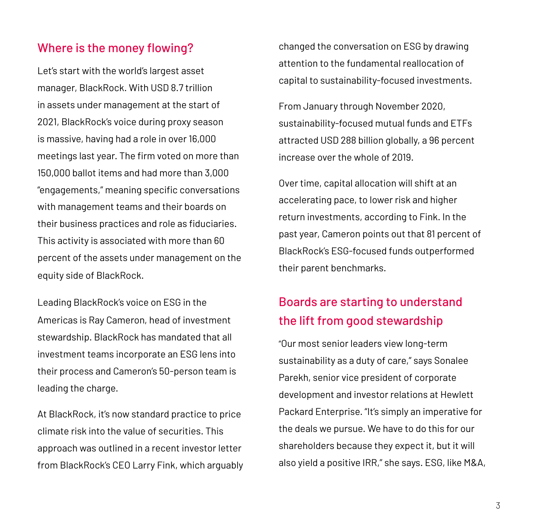### Where is the money flowing?

Let's start with the world's largest asset manager, BlackRock. With USD 8.7 trillion in assets under management at the start of 2021, BlackRock's voice during proxy season is massive, having had a role in over 16,000 meetings last year. The firm voted on more than 150,000 ballot items and had more than 3,000 "engagements," meaning specific conversations with management teams and their boards on their business practices and role as fiduciaries. This activity is associated with more than 60 percent of the assets under management on the equity side of BlackRock.

Leading BlackRock's voice on ESG in the Americas is Ray Cameron, head of investment stewardship. BlackRock has mandated that all investment teams incorporate an ESG lens into their process and Cameron's 50-person team is leading the charge.

At BlackRock, it's now standard practice to price climate risk into the value of securities. This approach was outlined in a recent investor letter from BlackRock's CEO Larry Fink, which arguably changed the conversation on ESG by drawing attention to the fundamental reallocation of capital to sustainability-focused investments.

From January through November 2020, sustainability-focused mutual funds and ETFs attracted USD 288 billion globally, a 96 percent increase over the whole of 2019.

Over time, capital allocation will shift at an accelerating pace, to lower risk and higher return investments, according to Fink. In the past year, Cameron points out that 81 percent of BlackRock's ESG-focused funds outperformed their parent benchmarks.

### Boards are starting to understand the lift from good stewardship

"Our most senior leaders view long-term sustainability as a duty of care," says Sonalee Parekh, senior vice president of corporate development and investor relations at Hewlett Packard Enterprise. "It's simply an imperative for the deals we pursue. We have to do this for our shareholders because they expect it, but it will also yield a positive IRR," she says. ESG, like M&A,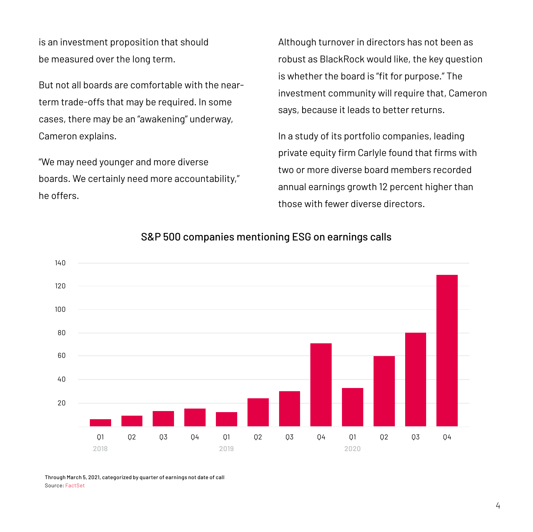is an investment proposition that should be measured over the long term.

But not all boards are comfortable with the nearterm trade-offs that may be required. In some cases, there may be an "awakening" underway, Cameron explains.

"We may need younger and more diverse boards. We certainly need more accountability," he offers.

Although turnover in directors has not been as robust as BlackRock would like, the key question is whether the board is "fit for purpose." The investment community will require that, Cameron says, because it leads to better returns.

In a study of its portfolio companies, leading private equity firm Carlyle found that firms with two or more diverse board members recorded annual earnings growth 12 percent higher than those with fewer diverse directors.



### S&P 500 companies mentioning ESG on earnings calls

Through March 5, 2021, categorized by quarter of earnings not date of call Source: [FactSet](https://insight.factset.com/more-than-one-in-four-sp-500-companies-cited-esg-on-earnings-calls-for-q4)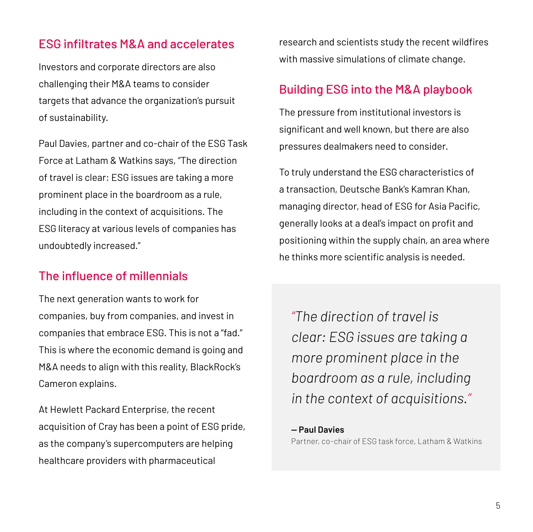### ESG infiltrates M&A and accelerates

Investors and corporate directors are also challenging their M&A teams to consider targets that advance the organization's pursuit of sustainability.

Paul Davies, partner and co-chair of the ESG Task Force at Latham & Watkins says, "The direction of travel is clear: ESG issues are taking a more prominent place in the boardroom as a rule, including in the context of acquisitions. The ESG literacy at various levels of companies has undoubtedly increased."

### The influence of millennials

The next generation wants to work for companies, buy from companies, and invest in companies that embrace ESG. This is not a "fad." This is where the economic demand is going and M&A needs to align with this reality, BlackRock's Cameron explains.

At Hewlett Packard Enterprise, the recent acquisition of Cray has been a point of ESG pride, as the company's supercomputers are helping healthcare providers with pharmaceutical

research and scientists study the recent wildfires with massive simulations of climate change.

### Building ESG into the M&A playbook

The pressure from institutional investors is significant and well known, but there are also pressures dealmakers need to consider.

To truly understand the ESG characteristics of a transaction, Deutsche Bank's Kamran Khan, managing director, head of ESG for Asia Pacific, generally looks at a deal's impact on profit and positioning within the supply chain, an area where he thinks more scientific analysis is needed.

*"The direction of travel is clear: ESG issues are taking a more prominent place in the boardroom as a rule, including in the context of acquisitions."*

**— Paul Davies** Partner, co-chair of ESG task force, Latham & Watkins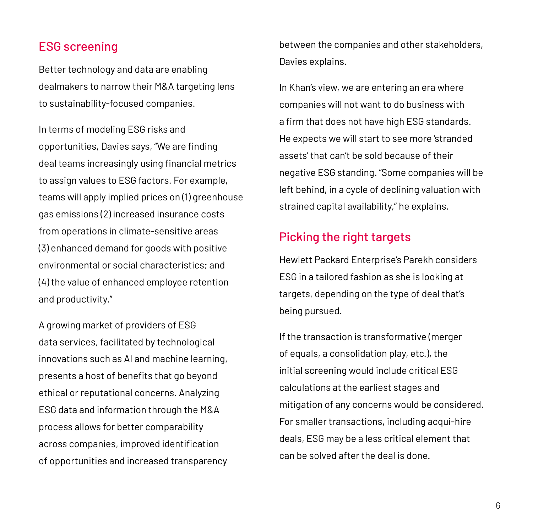### ESG screening

Better technology and data are enabling dealmakers to narrow their M&A targeting lens to sustainability-focused companies.

In terms of modeling ESG risks and opportunities, Davies says, "We are finding deal teams increasingly using financial metrics to assign values to ESG factors. For example, teams will apply implied prices on (1) greenhouse gas emissions (2) increased insurance costs from operations in climate-sensitive areas (3) enhanced demand for goods with positive environmental or social characteristics; and (4) the value of enhanced employee retention and productivity."

A growing market of providers of ESG data services, facilitated by technological innovations such as AI and machine learning, presents a host of benefits that go beyond ethical or reputational concerns. Analyzing ESG data and information through the M&A process allows for better comparability across companies, improved identification of opportunities and increased transparency between the companies and other stakeholders, Davies explains.

In Khan's view, we are entering an era where companies will not want to do business with a firm that does not have high ESG standards. He expects we will start to see more 'stranded assets' that can't be sold because of their negative ESG standing. "Some companies will be left behind, in a cycle of declining valuation with strained capital availability," he explains.

### Picking the right targets

Hewlett Packard Enterprise's Parekh considers ESG in a tailored fashion as she is looking at targets, depending on the type of deal that's being pursued.

If the transaction is transformative (merger of equals, a consolidation play, etc.), the initial screening would include critical ESG calculations at the earliest stages and mitigation of any concerns would be considered. For smaller transactions, including acqui-hire deals, ESG may be a less critical element that can be solved after the deal is done.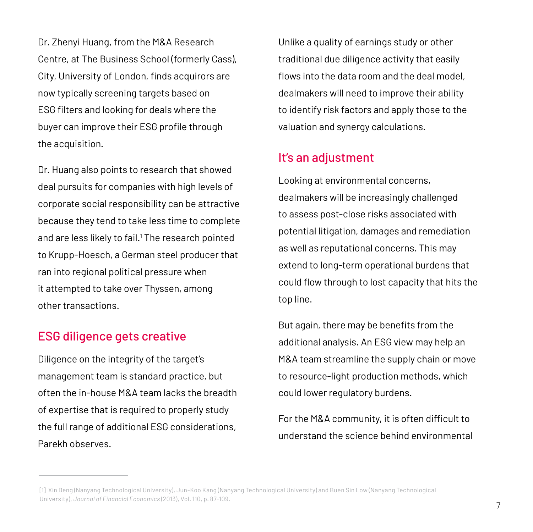Dr. Zhenyi Huang, from the M&A Research Centre, at The Business School (formerly Cass), City, University of London, finds acquirors are now typically screening targets based on ESG filters and looking for deals where the buyer can improve their ESG profile through the acquisition.

Dr. Huang also points to research that showed deal pursuits for companies with high levels of corporate social responsibility can be attractive because they tend to take less time to complete and are less likely to fail.<sup>1</sup> The research pointed to Krupp-Hoesch, a German steel producer that ran into regional political pressure when it attempted to take over Thyssen, among other transactions.

### ESG diligence gets creative

Diligence on the integrity of the target's management team is standard practice, but often the in-house M&A team lacks the breadth of expertise that is required to properly study the full range of additional ESG considerations, Parekh observes.

Unlike a quality of earnings study or other traditional due diligence activity that easily flows into the data room and the deal model, dealmakers will need to improve their ability to identify risk factors and apply those to the valuation and synergy calculations.

### It's an adjustment

Looking at environmental concerns, dealmakers will be increasingly challenged to assess post-close risks associated with potential litigation, damages and remediation as well as reputational concerns. This may extend to long-term operational burdens that could flow through to lost capacity that hits the top line.

But again, there may be benefits from the additional analysis. An ESG view may help an M&A team streamline the supply chain or move to resource-light production methods, which could lower regulatory burdens.

For the M&A community, it is often difficult to understand the science behind environmental

<sup>[1]</sup> Xin Deng (Nanyang Technological University), Jun-Koo Kang (Nanyang Technological University) and Buen Sin Low (Nanyang Technological University), *Journal of Financial Economics* (2013), Vol. 110, p. 87-109.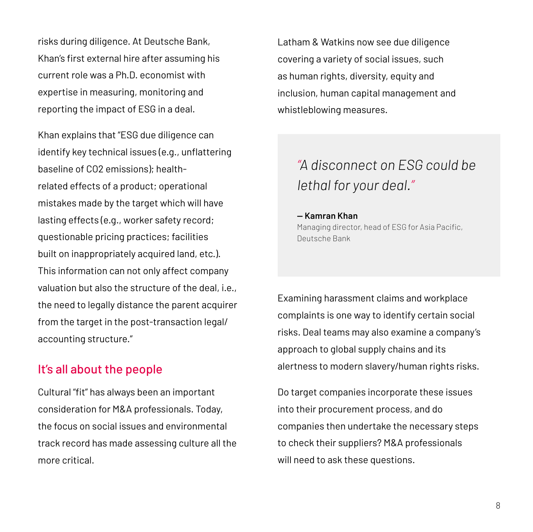risks during diligence. At Deutsche Bank, Khan's first external hire after assuming his current role was a Ph.D. economist with expertise in measuring, monitoring and reporting the impact of ESG in a deal.

Khan explains that "ESG due diligence can identify key technical issues (e.g., unflattering baseline of CO2 emissions); healthrelated effects of a product; operational mistakes made by the target which will have lasting effects (e.g., worker safety record; questionable pricing practices; facilities built on inappropriately acquired land, etc.). This information can not only affect company valuation but also the structure of the deal, i.e., the need to legally distance the parent acquirer from the target in the post-transaction legal/ accounting structure."

### It's all about the people

Cultural "fit" has always been an important consideration for M&A professionals. Today, the focus on social issues and environmental track record has made assessing culture all the more critical.

Latham & Watkins now see due diligence covering a variety of social issues, such as human rights, diversity, equity and inclusion, human capital management and whistleblowing measures.

### *"A disconnect on ESG could be lethal for your deal."*

#### **— Kamran Khan**

Managing director, head of ESG for Asia Pacific, Deutsche Bank

Examining harassment claims and workplace complaints is one way to identify certain social risks. Deal teams may also examine a company's approach to global supply chains and its alertness to modern slavery/human rights risks.

Do target companies incorporate these issues into their procurement process, and do companies then undertake the necessary steps to check their suppliers? M&A professionals will need to ask these questions.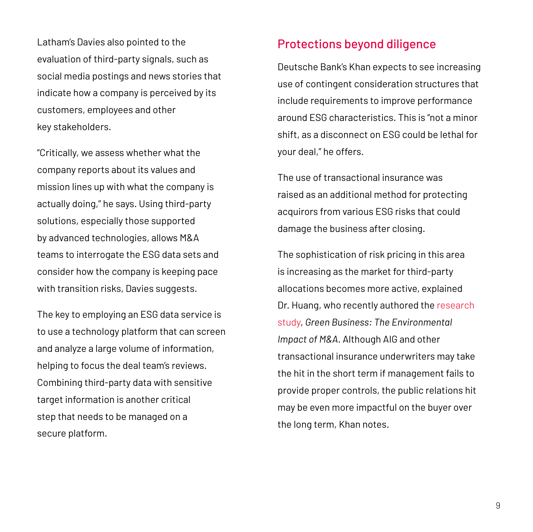Latham's Davies also pointed to the evaluation of third-party signals, such as social media postings and news stories that indicate how a company is perceived by its customers, employees and other key stakeholders.

"Critically, we assess whether what the company reports about its values and mission lines up with what the company is actually doing," he says. Using third-party solutions, especially those supported by advanced technologies, allows M&A teams to interrogate the ESG data sets and consider how the company is keeping pace with transition risks, Davies suggests.

The key to employing an ESG data service is to use a technology platform that can screen and analyze a large volume of information, helping to focus the deal team's reviews. Combining third-party data with sensitive target information is another critical step that needs to be managed on a secure platform.

### Protections beyond diligence

Deutsche Bank's Khan expects to see increasing use of contingent consideration structures that include requirements to improve performance around ESG characteristics. This is "not a minor shift, as a disconnect on ESG could be lethal for your deal," he offers.

The use of transactional insurance was raised as an additional method for protecting acquirors from various ESG risks that could damage the business after closing.

The sophistication of risk pricing in this area is increasing as the market for third-party allocations becomes more active, explained Dr. Huang, who recently authored the [research](https://www.city.ac.uk/news/2019/august/successful-m-and-a-deals-contribute-to-firms-environmental-performance)  [study,](https://www.city.ac.uk/news/2019/august/successful-m-and-a-deals-contribute-to-firms-environmental-performance) *Green Business: The Environmental Impact of M&A*. Although AIG and other transactional insurance underwriters may take the hit in the short term if management fails to provide proper controls, the public relations hit may be even more impactful on the buyer over the long term, Khan notes.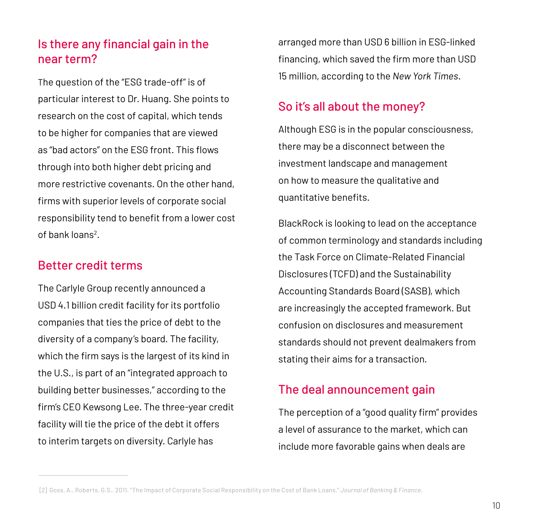### Is there any financial gain in the near term?

The question of the "ESG trade-off" is of particular interest to Dr. Huang. She points to research on the cost of capital, which tends to be higher for companies that are viewed as "bad actors" on the ESG front. This flows through into both higher debt pricing and more restrictive covenants. On the other hand, firms with superior levels of corporate social responsibility tend to benefit from a lower cost of bank loans<sup>2</sup>.

### Better credit terms

The Carlyle Group recently announced a USD 4.1 billion credit facility for its portfolio companies that ties the price of debt to the diversity of a company's board. The facility, which the firm says is the largest of its kind in the U.S., is part of an "integrated approach to building better businesses," according to the firm's CEO Kewsong Lee. The three-year credit facility will tie the price of the debt it offers to interim targets on diversity. Carlyle has

arranged more than USD 6 billion in ESG-linked financing, which saved the firm more than USD 15 million, according to the *New York Times*.

### So it's all about the money?

Although ESG is in the popular consciousness, there may be a disconnect between the investment landscape and management on how to measure the qualitative and quantitative benefits.

BlackRock is looking to lead on the acceptance of common terminology and standards including the Task Force on Climate-Related Financial Disclosures (TCFD) and the Sustainability Accounting Standards Board (SASB), which are increasingly the accepted framework. But confusion on disclosures and measurement standards should not prevent dealmakers from stating their aims for a transaction.

### The deal announcement gain

The perception of a "good quality firm" provides a level of assurance to the market, which can include more favorable gains when deals are

<sup>[2]</sup> Goss, A., Roberts, G.S., 2011. "The Impact of Corporate Social Responsibility on the Cost of Bank Loans." *Journal of Banking & Finance*.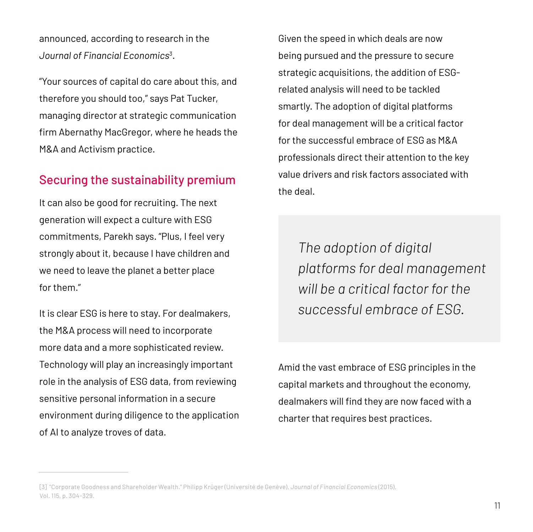announced, according to research in the *Journal of Financial Economics*<sup>3</sup> .

"Your sources of capital do care about this, and therefore you should too," says Pat Tucker, managing director at strategic communication firm Abernathy MacGregor, where he heads the M&A and Activism practice.

### Securing the sustainability premium

It can also be good for recruiting. The next generation will expect a culture with ESG commitments, Parekh says. "Plus, I feel very strongly about it, because I have children and we need to leave the planet a better place for them."

It is clear ESG is here to stay. For dealmakers, the M&A process will need to incorporate more data and a more sophisticated review. Technology will play an increasingly important role in the analysis of ESG data, from reviewing sensitive personal information in a secure environment during diligence to the application of AI to analyze troves of data.

Given the speed in which deals are now being pursued and the pressure to secure strategic acquisitions, the addition of ESGrelated analysis will need to be tackled smartly. The adoption of digital platforms for deal management will be a critical factor for the successful embrace of ESG as M&A professionals direct their attention to the key value drivers and risk factors associated with the deal.

> *The adoption of digital platforms for deal management will be a critical factor for the successful embrace of ESG.*

Amid the vast embrace of ESG principles in the capital markets and throughout the economy, dealmakers will find they are now faced with a charter that requires best practices.

<sup>[3] &</sup>quot;Corporate Goodness and Shareholder Wealth." Philipp Krüger (Université de Genève), *Journal of Financial Economics* (2015), Vol. 115, p. 304-329.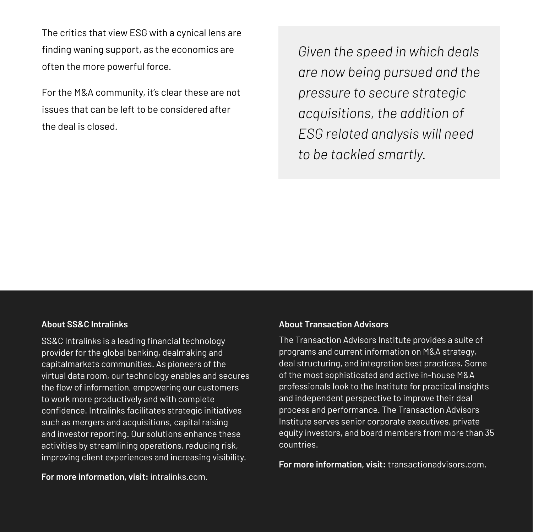The critics that view ESG with a cynical lens are finding waning support, as the economics are often the more powerful force.

For the M&A community, it's clear these are not issues that can be left to be considered after the deal is closed.

*Given the speed in which deals are now being pursued and the pressure to secure strategic acquisitions, the addition of ESG related analysis will need to be tackled smartly.*

#### **About SS&C Intralinks**

SS&C Intralinks is a leading financial technology provider for the global banking, dealmaking and capitalmarkets communities. As pioneers of the virtual data room, our technology enables and secures the flow of information, empowering our customers to work more productively and with complete confidence. Intralinks facilitates strategic initiatives such as mergers and acquisitions, capital raising and investor reporting. Our solutions enhance these activities by streamlining operations, reducing risk, improving client experiences and increasing visibility.

**For more information, visit:** intralinks.com.

### **About Transaction Advisors**

The Transaction Advisors Institute provides a suite of programs and current information on M&A strategy, deal structuring, and integration best practices. Some of the most sophisticated and active in-house M&A professionals look to the Institute for practical insights and independent perspective to improve their deal process and performance. The Transaction Advisors Institute serves senior corporate executives, private equity investors, and board members from more than 35 countries.

**For more information, visit:** transactionadvisors.com.